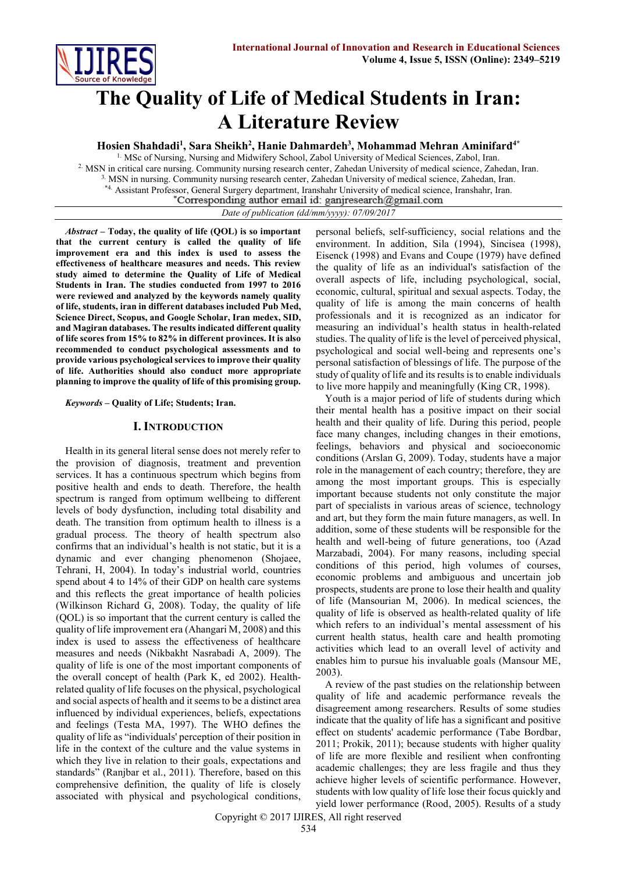

# **The Quality of Life of Medical Students in Iran: A Literature Review**

**Hosien Shahdadi<sup>1</sup> , Sara Sheikh<sup>2</sup> , Hanie Dahmardeh<sup>3</sup> , Mohammad Mehran Aminifard4\***

1. MSc of Nursing, Nursing and Midwifery School, Zabol University of Medical Sciences, Zabol, Iran. 2. MSN in critical care nursing. Community nursing research center, Zahedan University of medical science, Zahedan, Iran. 3. MSN in nursing. Community nursing research center, Zahedan University of medical science, Zahedan, Iran. \*4. Assistant Professor, General Surgery department, Iranshahr University of medical science, Iranshahr, Iran.

*Date of publication (dd/mm/yyyy): 07/09/2017*

*Abstract* **– Today, the quality of life (QOL) is so important that the current century is called the quality of life improvement era and this index is used to assess the effectiveness of healthcare measures and needs. This review study aimed to determine the Quality of Life of Medical Students in Iran. The studies conducted from 1997 to 2016 were reviewed and analyzed by the keywords namely quality of life, students, iran in different databases included Pub Med, Science Direct, Scopus, and Google Scholar, Iran medex, SID, and Magiran databases. The results indicated different quality of life scores from 15% to 82% in different provinces. It is also recommended to conduct psychological assessments and to provide various psychological services to improve their quality of life. Authorities should also conduct more appropriate planning to improve the quality of life of this promising group.**

*Keywords* **– Quality of Life; Students; Iran.**

#### **I. INTRODUCTION**

Health in its general literal sense does not merely refer to the provision of diagnosis, treatment and prevention services. It has a continuous spectrum which begins from positive health and ends to death. Therefore, the health spectrum is ranged from optimum wellbeing to different levels of body dysfunction, including total disability and death. The transition from optimum health to illness is a gradual process. The theory of health spectrum also confirms that an individual's health is not static, but it is a dynamic and ever changing phenomenon (Shojaee, Tehrani, H, 2004). In today's industrial world, countries spend about 4 to 14% of their GDP on health care systems and this reflects the great importance of health policies (Wilkinson Richard G, 2008). Today, the quality of life (QOL) is so important that the current century is called the quality of life improvement era (Ahangari M, 2008) and this index is used to assess the effectiveness of healthcare measures and needs (Nikbakht Nasrabadi A, 2009). The quality of life is one of the most important components of the overall concept of health (Park K, ed 2002). Healthrelated quality of life focuses on the physical, psychological and social aspects of health and it seems to be a distinct area influenced by individual experiences, beliefs, expectations and feelings (Testa MA, 1997). The WHO defines the quality of life as "individuals' perception of their position in life in the context of the culture and the value systems in which they live in relation to their goals, expectations and standards" (Ranjbar et al., 2011). Therefore, based on this comprehensive definition, the quality of life is closely associated with physical and psychological conditions, personal beliefs, self-sufficiency, social relations and the environment. In addition, Sila (1994), Sincisea (1998), Eisenck (1998) and Evans and Coupe (1979) have defined the quality of life as an individual's satisfaction of the overall aspects of life, including psychological, social, economic, cultural, spiritual and sexual aspects. Today, the quality of life is among the main concerns of health professionals and it is recognized as an indicator for measuring an individual's health status in health-related studies. The quality of life is the level of perceived physical, psychological and social well-being and represents one's personal satisfaction of blessings of life. The purpose of the study of quality of life and its results is to enable individuals to live more happily and meaningfully (King CR, 1998).

Youth is a major period of life of students during which their mental health has a positive impact on their social health and their quality of life. During this period, people face many changes, including changes in their emotions, feelings, behaviors and physical and socioeconomic conditions (Arslan G, 2009). Today, students have a major role in the management of each country; therefore, they are among the most important groups. This is especially important because students not only constitute the major part of specialists in various areas of science, technology and art, but they form the main future managers, as well. In addition, some of these students will be responsible for the health and well-being of future generations, too (Azad Marzabadi, 2004). For many reasons, including special conditions of this period, high volumes of courses, economic problems and ambiguous and uncertain job prospects, students are prone to lose their health and quality of life (Mansourian M, 2006). In medical sciences, the quality of life is observed as health-related quality of life which refers to an individual's mental assessment of his current health status, health care and health promoting activities which lead to an overall level of activity and enables him to pursue his invaluable goals (Mansour ME, 2003).

A review of the past studies on the relationship between quality of life and academic performance reveals the disagreement among researchers. Results of some studies indicate that the quality of life has a significant and positive effect on students' academic performance (Tabe Bordbar, 2011; Prokik, 2011); because students with higher quality of life are more flexible and resilient when confronting academic challenges; they are less fragile and thus they achieve higher levels of scientific performance. However, students with low quality of life lose their focus quickly and yield lower performance (Rood, 2005). Results of a study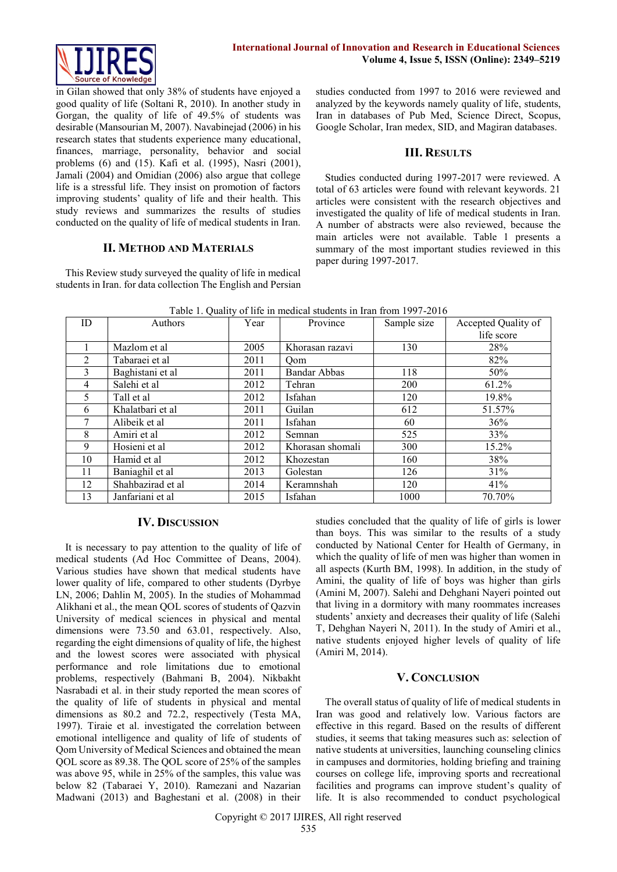

in Gilan showed that only 38% of students have enjoyed a good quality of life (Soltani R, 2010). In another study in Gorgan, the quality of life of 49.5% of students was desirable (Mansourian M, 2007). Navabinejad (2006) in his research states that students experience many educational, finances, marriage, personality, behavior and social problems (6) and (15). Kafi et al. (1995), Nasri (2001), Jamali (2004) and Omidian (2006) also argue that college life is a stressful life. They insist on promotion of factors improving students' quality of life and their health. This study reviews and summarizes the results of studies conducted on the quality of life of medical students in Iran.

### **II. METHOD AND MATERIALS**

This Review study surveyed the quality of life in medical students in Iran. for data collection The English and Persian studies conducted from 1997 to 2016 were reviewed and analyzed by the keywords namely quality of life, students, Iran in databases of Pub Med, Science Direct, Scopus, Google Scholar, Iran medex, SID, and Magiran databases.

#### **III. RESULTS**

Studies conducted during 1997-2017 were reviewed. A total of 63 articles were found with relevant keywords. 21 articles were consistent with the research objectives and investigated the quality of life of medical students in Iran. A number of abstracts were also reviewed, because the main articles were not available. Table 1 presents a summary of the most important studies reviewed in this paper during 1997-2017.

| ID | Authors           | Year | Province            | Sample size | Accepted Quality of |
|----|-------------------|------|---------------------|-------------|---------------------|
|    |                   |      |                     |             | life score          |
|    | Mazlom et al      | 2005 | Khorasan razavi     | 130         | 28%                 |
| 2  | Tabaraei et al    | 2011 | Qom                 |             | 82%                 |
| 3  | Baghistani et al  | 2011 | <b>Bandar Abbas</b> | 118         | 50%                 |
| 4  | Salehi et al      | 2012 | Tehran              | 200         | 61.2%               |
| 5  | Tall et al        | 2012 | Isfahan             | 120         | 19.8%               |
| 6  | Khalatbari et al  | 2011 | Guilan              | 612         | 51.57%              |
| 7  | Alibeik et al     | 2011 | Isfahan             | 60          | 36%                 |
| 8  | Amiri et al       | 2012 | Semnan              | 525         | 33%                 |
| 9  | Hosieni et al     | 2012 | Khorasan shomali    | 300         | 15.2%               |
| 10 | Hamid et al       | 2012 | Khozestan           | 160         | 38%                 |
| 11 | Baniaghil et al   | 2013 | Golestan            | 126         | 31%                 |
| 12 | Shahbazirad et al | 2014 | Keramnshah          | 120         | 41%                 |
| 13 | Janfariani et al  | 2015 | Isfahan             | 1000        | 70.70%              |

Table 1. Quality of life in medical students in Iran from 1997-2016

#### **IV. DISCUSSION**

It is necessary to pay attention to the quality of life of medical students (Ad Hoc Committee of Deans, 2004). Various studies have shown that medical students have lower quality of life, compared to other students (Dyrbye LN, 2006; Dahlin M, 2005). In the studies of Mohammad Alikhani et al., the mean QOL scores of students of Qazvin University of medical sciences in physical and mental dimensions were 73.50 and 63.01, respectively. Also, regarding the eight dimensions of quality of life, the highest and the lowest scores were associated with physical performance and role limitations due to emotional problems, respectively (Bahmani B, 2004). Nikbakht Nasrabadi et al. in their study reported the mean scores of the quality of life of students in physical and mental dimensions as 80.2 and 72.2, respectively (Testa MA, 1997). Tiraie et al. investigated the correlation between emotional intelligence and quality of life of students of Qom University of Medical Sciences and obtained the mean QOL score as 89.38. The QOL score of 25% of the samples was above 95, while in 25% of the samples, this value was below 82 (Tabaraei Y, 2010). Ramezani and Nazarian Madwani (2013) and Baghestani et al. (2008) in their

studies concluded that the quality of life of girls is lower than boys. This was similar to the results of a study conducted by National Center for Health of Germany, in which the quality of life of men was higher than women in all aspects (Kurth BM, 1998). In addition, in the study of Amini, the quality of life of boys was higher than girls (Amini M, 2007). Salehi and Dehghani Nayeri pointed out that living in a dormitory with many roommates increases students' anxiety and decreases their quality of life (Salehi T, Dehghan Nayeri N, 2011). In the study of Amiri et al., native students enjoyed higher levels of quality of life (Amiri M, 2014).

## **V. CONCLUSION**

The overall status of quality of life of medical students in Iran was good and relatively low. Various factors are effective in this regard. Based on the results of different studies, it seems that taking measures such as: selection of native students at universities, launching counseling clinics in campuses and dormitories, holding briefing and training courses on college life, improving sports and recreational facilities and programs can improve student's quality of life. It is also recommended to conduct psychological